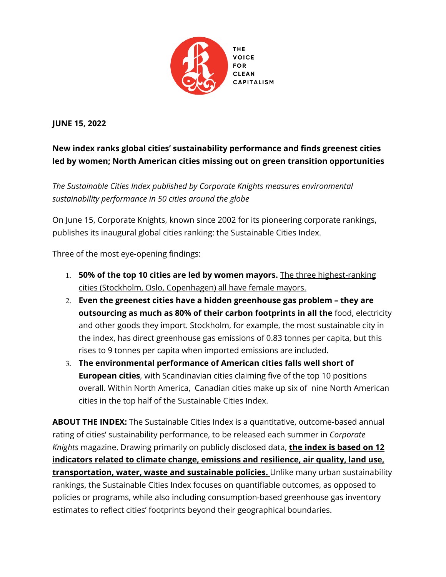

# **JUNE 15, 2022**

# **New index ranks global cities' sustainability performance and finds greenest cities led by women; North American cities missing out on green transition opportunities**

*The Sustainable Cities Index published by Corporate Knights measures environmental sustainability performance in 50 cities around the globe*

On June 15, Corporate Knights, known since 2002 for its pioneering corporate rankings, publishes its inaugural global cities ranking: the Sustainable Cities Index.

Three of the most eye-opening findings:

- 1. **50% of the top 10 cities are led by women mayors.** The three highest-ranking cities (Stockholm, Oslo, Copenhagen) all have female mayors.
- 2. **Even the greenest cities have a hidden greenhouse gas problem – they are outsourcing as much as 80% of their carbon footprints in all the** food, electricity and other goods they import. Stockholm, for example, the most sustainable city in the index, has direct greenhouse gas emissions of 0.83 tonnes per capita, but this rises to 9 tonnes per capita when imported emissions are included.
- 3. **The environmental performance of American cities falls well short of European cities**, with Scandinavian cities claiming five of the top 10 positions overall. Within North America, Canadian cities make up six of nine North American cities in the top half of the Sustainable Cities Index.

**ABOUT THE INDEX:** The Sustainable Cities Index is a quantitative, outcome-based annual rating of cities' sustainability performance, to be released each summer in *Corporate Knights* magazine. Drawing primarily on publicly disclosed data, **the index is based on 12 indicators related to climate change, emissions and resilience, air quality, land use, transportation, water, waste and sustainable policies.** Unlike many urban sustainability rankings, the Sustainable Cities Index focuses on quantifiable outcomes, as opposed to policies or programs, while also including consumption-based greenhouse gas inventory estimates to reflect cities' footprints beyond their geographical boundaries.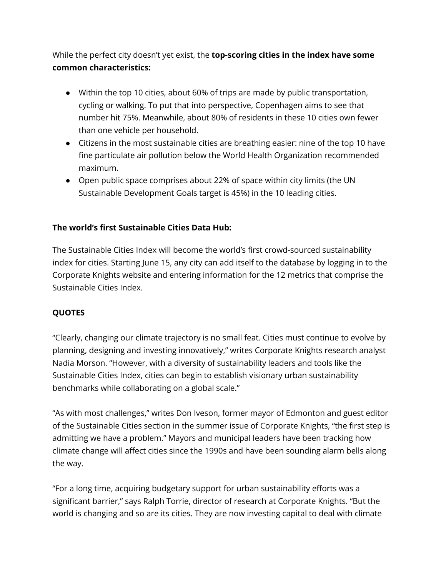While the perfect city doesn't yet exist, the **top-scoring cities in the index have some common characteristics:**

- Within the top 10 cities, about 60% of trips are made by public transportation, cycling or walking. To put that into perspective, Copenhagen aims to see that number hit 75%. Meanwhile, about 80% of residents in these 10 cities own fewer than one vehicle per household.
- Citizens in the most sustainable cities are breathing easier: nine of the top 10 have fine particulate air pollution below the World Health Organization recommended maximum.
- Open public space comprises about 22% of space within city limits (the UN Sustainable Development Goals target is 45%) in the 10 leading cities.

## **The world's first Sustainable Cities Data Hub:**

The Sustainable Cities Index will become the world's first crowd-sourced sustainability index for cities. Starting June 15, any city can add itself to the database by logging in to the Corporate Knights website and entering information for the 12 metrics that comprise the Sustainable Cities Index.

#### **QUOTES**

"Clearly, changing our climate trajectory is no small feat. Cities must continue to evolve by planning, designing and investing innovatively," writes Corporate Knights research analyst Nadia Morson. "However, with a diversity of sustainability leaders and tools like the Sustainable Cities Index, cities can begin to establish visionary urban sustainability benchmarks while collaborating on a global scale."

"As with most challenges," writes Don Iveson, former mayor of Edmonton and guest editor of the Sustainable Cities section in the summer issue of Corporate Knights, "the first step is admitting we have a problem." Mayors and municipal leaders have been tracking how climate change will affect cities since the 1990s and have been sounding alarm bells along the way.

"For a long time, acquiring budgetary support for urban sustainability efforts was a significant barrier," says Ralph Torrie, director of research at Corporate Knights. "But the world is changing and so are its cities. They are now investing capital to deal with climate